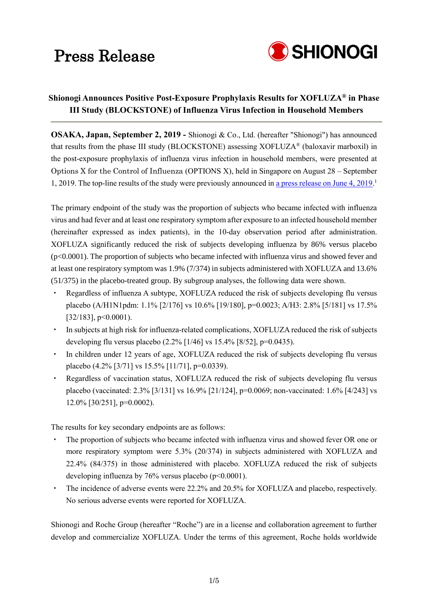

### **Shionogi Announces Positive Post-Exposure Prophylaxis Results for XOFLUZA® in Phase III Study (BLOCKSTONE) of Influenza Virus Infection in Household Members**

**OSAKA, Japan, September 2, 2019 -** Shionogi & Co., Ltd. (hereafter "Shionogi") has announced that results from the phase III study (BLOCKSTONE) assessing XOFLUZA® (baloxavir marboxil) in the post-exposure prophylaxis of influenza virus infection in household members, were presented at Options X for the Control of Influenza (OPTIONS X), held in Singapore on August 28 – September 1, 2019. The top-line results of the study were previously announced in [a press release on June 4, 2019.](http://www.shionogi.co.jp/en/company/news/2019/pmrltj00000045xx-att/e_190604.pdf)

The primary endpoint of the study was the proportion of subjects who became infected with influenza virus and had fever and at least one respiratory symptom after exposure to an infected household member (hereinafter expressed as index patients), in the 10-day observation period after administration. XOFLUZA significantly reduced the risk of subjects developing influenza by 86% versus placebo (p<0.0001). The proportion of subjects who became infected with influenza virus and showed fever and at least one respiratory symptom was 1.9% (7/374) in subjects administered with XOFLUZA and 13.6% (51/375) in the placebo-treated group. By subgroup analyses, the following data were shown.

- Regardless of influenza A subtype, XOFLUZA reduced the risk of subjects developing flu versus placebo (A/H1N1pdm: 1.1% [2/176] vs 10.6% [19/180], p=0.0023; A/H3: 2.8% [5/181] vs 17.5% [32/183], p<0.0001).
- In subjects at high risk for influenza-related complications, XOFLUZA reduced the risk of subjects developing flu versus placebo  $(2.2\%$  [1/46] vs 15.4% [8/52], p=0.0435).
- In children under 12 years of age, XOFLUZA reduced the risk of subjects developing flu versus placebo (4.2% [3/71] vs 15.5% [11/71], p=0.0339).
- Regardless of vaccination status, XOFLUZA reduced the risk of subjects developing flu versus placebo (vaccinated: 2.3% [3/131] vs 16.9% [21/124], p=0.0069; non-vaccinated: 1.6% [4/243] vs  $12.0\%$  [30/251], p=0.0002).

The results for key secondary endpoints are as follows:

- The proportion of subjects who became infected with influenza virus and showed fever OR one or more respiratory symptom were 5.3% (20/374) in subjects administered with XOFLUZA and 22.4% (84/375) in those administered with placebo. XOFLUZA reduced the risk of subjects developing influenza by 76% versus placebo ( $p<0.0001$ ).
- ・ The incidence of adverse events were 22.2% and 20.5% for XOFLUZA and placebo, respectively. No serious adverse events were reported for XOFLUZA.

Shionogi and Roche Group (hereafter "Roche") are in a license and collaboration agreement to further develop and commercialize XOFLUZA. Under the terms of this agreement, Roche holds worldwide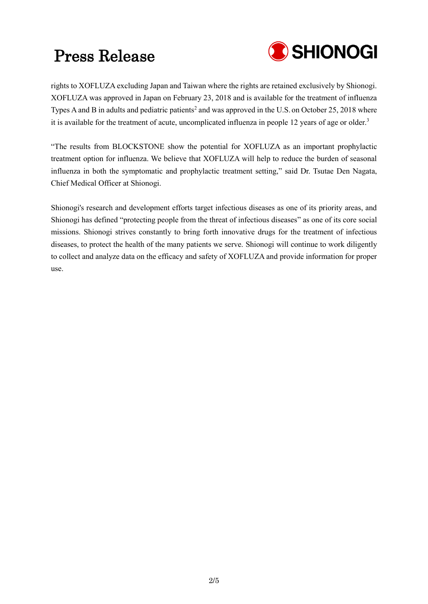

rights to XOFLUZA excluding Japan and Taiwan where the rights are retained exclusively by Shionogi. XOFLUZA was approved in Japan on February 23, 2018 and is available for the treatment of influenza Types A and B in adults and pediatric patients<sup>2</sup> and was approved in the U.S. on October 25, 2018 where it is available for the treatment of acute, uncomplicated influenza in people 12 years of age or older.<sup>3</sup>

"The results from BLOCKSTONE show the potential for XOFLUZA as an important prophylactic treatment option for influenza. We believe that XOFLUZA will help to reduce the burden of seasonal influenza in both the symptomatic and prophylactic treatment setting," said Dr. Tsutae Den Nagata, Chief Medical Officer at Shionogi.

Shionogi's research and development efforts target infectious diseases as one of its priority areas, and Shionogi has defined "protecting people from the threat of infectious diseases" as one of its core social missions. Shionogi strives constantly to bring forth innovative drugs for the treatment of infectious diseases, to protect the health of the many patients we serve. Shionogi will continue to work diligently to collect and analyze data on the efficacy and safety of XOFLUZA and provide information for proper use.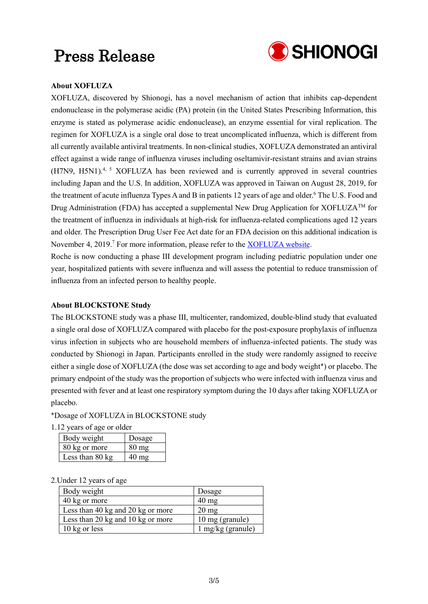

### **About XOFLUZA**

XOFLUZA, discovered by Shionogi, has a novel mechanism of action that inhibits cap-dependent endonuclease in the polymerase acidic (PA) protein (in the United States Prescribing Information, this enzyme is stated as polymerase acidic endonuclease), an enzyme essential for viral replication. The regimen for XOFLUZA is a single oral dose to treat uncomplicated influenza, which is different from all currently available antiviral treatments. In non-clinical studies, XOFLUZA demonstrated an antiviral effect against a wide range of influenza viruses including oseltamivir-resistant strains and avian strains (H7N9, H5N1).<sup>4, 5</sup> XOFLUZA has been reviewed and is currently approved in several countries including Japan and the U.S. In addition, XOFLUZA was approved in Taiwan on August 28, 2019, for the treatment of acute influenza Types A and B in patients 12 years of age and older. <sup>6</sup> The U.S. Food and Drug Administration (FDA) has accepted a supplemental New Drug Application for XOFLUZA<sup>TM</sup> for the treatment of influenza in individuals at high-risk for influenza-related complications aged 12 years and older. The Prescription Drug User Fee Act date for an FDA decision on this additional indication is November 4, 2019.<sup>7</sup> For more information, please refer to the **XOFLUZA** website.

Roche is now conducting a phase III development program including pediatric population under one year, hospitalized patients with severe influenza and will assess the potential to reduce transmission of influenza from an infected person to healthy people.

### **About BLOCKSTONE Study**

The BLOCKSTONE study was a phase III, multicenter, randomized, double-blind study that evaluated a single oral dose of XOFLUZA compared with placebo for the post-exposure prophylaxis of influenza virus infection in subjects who are household members of influenza-infected patients. The study was conducted by Shionogi in Japan. Participants enrolled in the study were randomly assigned to receive either a single dose of XOFLUZA (the dose was set according to age and body weight\*) or placebo. The primary endpoint of the study was the proportion of subjects who were infected with influenza virus and presented with fever and at least one respiratory symptom during the 10 days after taking XOFLUZA or placebo.

### \*Dosage of XOFLUZA in BLOCKSTONE study

1.12 years of age or older

| Body weight     | Dosage             |
|-----------------|--------------------|
| 80 kg or more   | $80 \,\mathrm{mg}$ |
| Less than 80 kg | 40 mg              |

### 2.Under 12 years of age

| Body weight                       | Dosage              |
|-----------------------------------|---------------------|
| 40 kg or more                     | $40 \text{ mg}$     |
| Less than 40 kg and 20 kg or more | $20 \text{ mg}$     |
| Less than 20 kg and 10 kg or more | 10 mg (granule)     |
| 10 kg or less                     | $1$ mg/kg (granule) |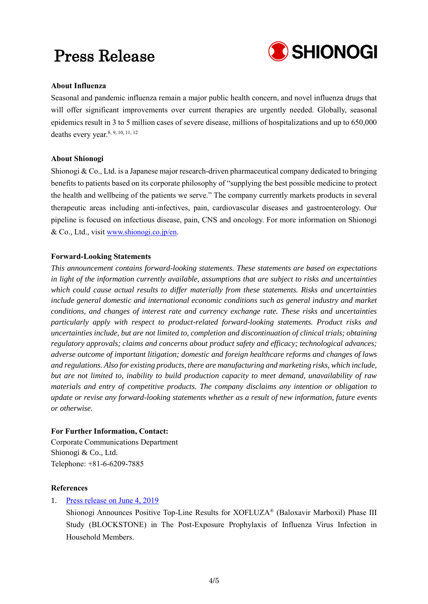

### **About Influenza**

Seasonal and pandemic influenza remain a major public health concern, and novel influenza drugs that will offer significant improvements over current therapies are urgently needed. Globally, seasonal epidemics result in 3 to 5 million cases of severe disease, millions of hospitalizations and up to 650,000 deaths every year.<sup>8, 9, 10, 11, 12</sup>

### **About Shionogi**

Shionogi & Co., Ltd. is a Japanese major research-driven pharmaceutical company dedicated to bringing benefits to patients based on its corporate philosophy of "supplying the best possible medicine to protect the health and wellbeing of the patients we serve." The company currently markets products in several therapeutic areas including anti-infectives, pain, cardiovascular diseases and gastroenterology. Our pipeline is focused on infectious disease, pain, CNS and oncology. For more information on Shionogi & Co., Ltd., visit [www.shionogi.co.jp/en](http://www.shionogi.co.jp/en/).

### **Forward-Looking Statements**

*This announcement contains forward-looking statements. These statements are based on expectations in light of the information currently available, assumptions that are subject to risks and uncertainties which could cause actual results to differ materially from these statements. Risks and uncertainties include general domestic and international economic conditions such as general industry and market conditions, and changes of interest rate and currency exchange rate. These risks and uncertainties particularly apply with respect to product-related forward-looking statements. Product risks and uncertainties include, but are not limited to, completion and discontinuation of clinical trials; obtaining regulatory approvals; claims and concerns about product safety and efficacy; technological advances; adverse outcome of important litigation; domestic and foreign healthcare reforms and changes of laws and regulations. Also for existing products, there are manufacturing and marketing risks, which include, but are not limited to, inability to build production capacity to meet demand, unavailability of raw materials and entry of competitive products. The company disclaims any intention or obligation to update or revise any forward-looking statements whether as a result of new information, future events or otherwise.*

### **For Further Information, Contact:**

Corporate Communications Department Shionogi & Co., Ltd. Telephone: +81-6-6209-7885

### **References**

### 1. [Press release on June 4, 2019](http://www.shionogi.co.jp/en/company/news/2019/pmrltj00000045xx-att/e_190604.pdf)

Shionogi Announces Positive Top-Line Results for XOFLUZA® (Baloxavir Marboxil) Phase III Study (BLOCKSTONE) in The Post-Exposure Prophylaxis of Influenza Virus Infection in Household Members.